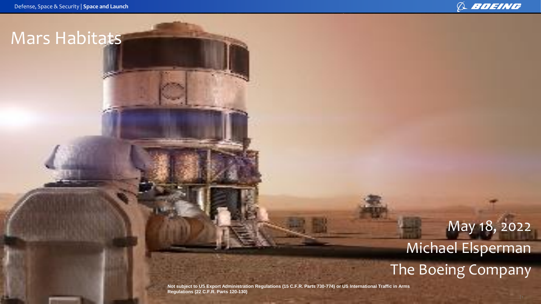#### **BOEING**

### Mars Habitats

Copyright 2020 Boeing. All Rights Reserved. Unpublished Work.

# May 18, 2022 Michael Elsperman The Boeing Company

**Export Controlled - ITAR Category XV(f)** <sup>2019</sup>**LIMITED RIGHTS- Subject to full restrictions on the cover page Not subject to US Export Administration Regulations (15 C.F.R. Parts 730-774) or US International Traffic in Arms Regulations (22 C.F.R. Parts 120-130)**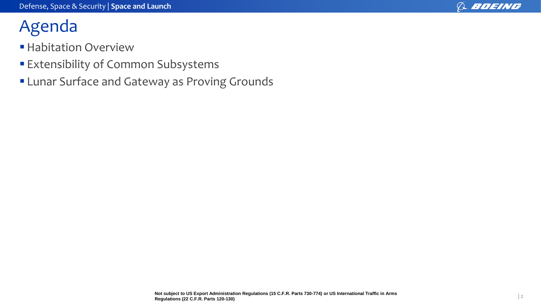#### **& BOEING**

### Agenda

- **E** Habitation Overview
- **Extensibility of Common Subsystems**
- **ELunar Surface and Gateway as Proving Grounds**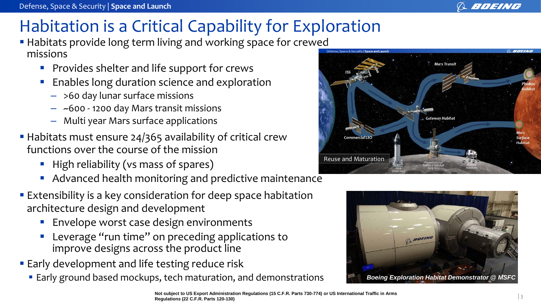### Habitation is a Critical Capability for Exploration

- **.** Habitats provide long term living and working space for crewed missions
	- Provides shelter and life support for crews
	- Enables long duration science and exploration
		- >60 day lunar surface missions
		- ~600 1200 day Mars transit missions
		- Multi year Mars surface applications
- **EXA** Habitats must ensure 24/365 availability of critical crew functions over the course of the mission
	- High reliability (vs mass of spares)
	- Advanced health monitoring and predictive maintenance
- **Extensibility is a key consideration for deep space habitation** architecture design and development
	- Envelope worst case design environments
	- Leverage "run time" on preceding applications to improve designs across the product line
- **Early development and life testing reduce risk** 
	- **Early ground based mockups, tech maturation, and demonstrations**



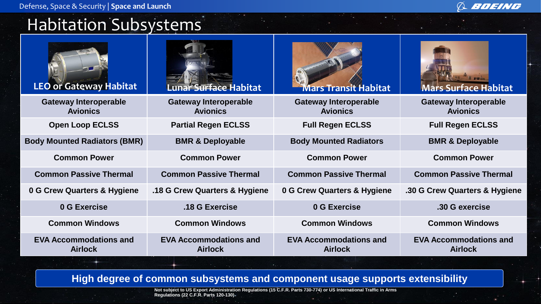Defense, Space & Security | **Space and Launch**

#### Habitation Subsystems

| <b>LEO or Gateway Habitat</b>                   | Lunar Surface Habitat                           | <b>Mars Transit Habitat</b>                     | <b>Mars Surface Habitat</b>                     |
|-------------------------------------------------|-------------------------------------------------|-------------------------------------------------|-------------------------------------------------|
| <b>Gateway Interoperable</b><br><b>Avionics</b> | <b>Gateway Interoperable</b><br><b>Avionics</b> | <b>Gateway Interoperable</b><br><b>Avionics</b> | <b>Gateway Interoperable</b><br><b>Avionics</b> |
| <b>Open Loop ECLSS</b>                          | <b>Partial Regen ECLSS</b>                      | <b>Full Regen ECLSS</b>                         | <b>Full Regen ECLSS</b>                         |
| <b>Body Mounted Radiators (BMR)</b>             | <b>BMR &amp; Deployable</b>                     | <b>Body Mounted Radiators</b>                   | <b>BMR &amp; Deployable</b>                     |
| <b>Common Power</b>                             | <b>Common Power</b>                             | <b>Common Power</b>                             | <b>Common Power</b>                             |
| <b>Common Passive Thermal</b>                   | <b>Common Passive Thermal</b>                   | <b>Common Passive Thermal</b>                   | <b>Common Passive Thermal</b>                   |
| 0 G Crew Quarters & Hygiene                     | .18 G Crew Quarters & Hygiene                   | 0 G Crew Quarters & Hygiene                     | .30 G Crew Quarters & Hygiene                   |
| 0 G Exercise                                    | .18 G Exercise                                  | 0 G Exercise                                    | .30 G exercise                                  |
| <b>Common Windows</b>                           | <b>Common Windows</b>                           | <b>Common Windows</b>                           | <b>Common Windows</b>                           |
| <b>EVA Accommodations and</b><br><b>Airlock</b> | <b>EVA Accommodations and</b><br><b>Airlock</b> | <b>EVA Accommodations and</b><br><b>Airlock</b> | <b>EVA Accommodations and</b><br><b>Airlock</b> |

 $\varnothing$ 

BOEING

**High degree of common subsystems and component usage supports extensibility**

**Not subject to US Exports 120-130) or US International Traffic in Arms 200-774 or US International Traffic in Arms and Traffic in Arms and Traffic in Arms and Traffic in Arms and Traffic in Arms and Traffic in Arms and Tr Regulations (22 C.F.R. Parts 120-130) Regulations (22 C.F.R. Parts 120-130) Not subject to US Export Administration Regulations (15 C.F.R. Parts 730-774) or US International Traffic in Arms**